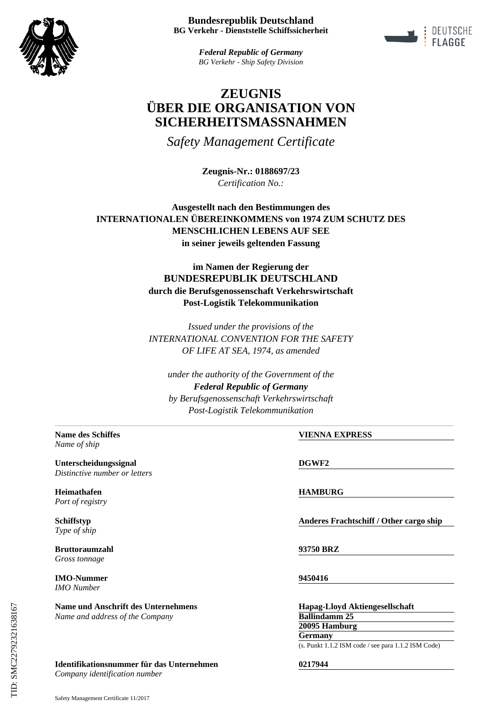



*Federal Republic of Germany BG Verkehr - Ship Safety Division*

# **ZEUGNIS ÜBER DIE ORGANISATION VON SICHERHEITSMASSNAHMEN**

*Safety Management Certificate*

**Zeugnis-Nr.: 0188697/23** *Certification No.:*

**Ausgestellt nach den Bestimmungen des INTERNATIONALEN ÜBEREINKOMMENS von 1974 ZUM SCHUTZ DES MENSCHLICHEN LEBENS AUF SEE in seiner jeweils geltenden Fassung**

> **im Namen der Regierung der BUNDESREPUBLIK DEUTSCHLAND durch die Berufsgenossenschaft Verkehrswirtschaft Post-Logistik Telekommunikation**

> *Issued under the provisions of the INTERNATIONAL CONVENTION FOR THE SAFETY OF LIFE AT SEA, 1974, as amended*

*under the authority of the Government of the Federal Republic of Germany by Berufsgenossenschaft Verkehrswirtschaft Post-Logistik Telekommunikation*

*Name of ship*

**Unterscheidungssignal DGWF2** *Distinctive number or letters*

**Heimathafen HAMBURG** *Port of registry*

*Type of ship*

**Bruttoraumzahl 93750 BRZ** *Gross tonnage*

**IMO-Nummer 9450416** *IMO Number*

**Name und Anschrift des Unternehmens Hapag-Lloyd Aktiengesellschaft** *Name and address of the Company*

## **Identifikationsnummer für das Unternehmen 0217944**

*Company identification number*

**Name des Schiffes VIENNA EXPRESS**

**Schiffstyp Anderes Frachtschiff / Other cargo ship**

**Ballindamm 25 20095 Hamburg Germany**

(s. Punkt 1.1.2 ISM code / see para 1.1.2 ISM Code)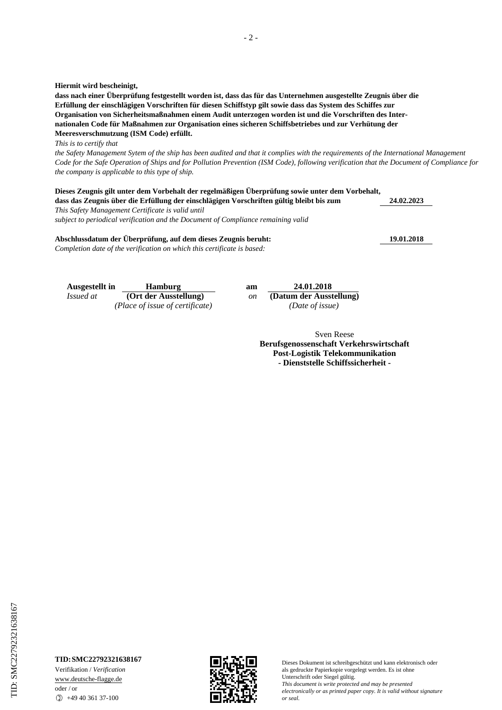**Hiermit wird bescheinigt,**

**dass nach einer Überprüfung festgestellt worden ist, dass das für das Unternehmen ausgestellte Zeugnis über die Erfüllung der einschlägigen Vorschriften für diesen Schiffstyp gilt sowie dass das System des Schiffes zur Organisation von Sicherheitsmaßnahmen einem Audit unterzogen worden ist und die Vorschriften des Internationalen Code für Maßnahmen zur Organisation eines sicheren Schiffsbetriebes und zur Verhütung der Meeresverschmutzung (ISM Code) erfüllt.**

*This is to certify that*

*the Safety Management Sytem of the ship has been audited and that it complies with the requirements of the International Management Code for the Safe Operation of Ships and for Pollution Prevention (ISM Code), following verification that the Document of Compliance for the company is applicable to this type of ship.*

**Dieses Zeugnis gilt unter dem Vorbehalt der regelmäßigen Überprüfung sowie unter dem Vorbehalt, dass das Zeugnis über die Erfüllung der einschlägigen Vorschriften gültig bleibt bis zum**

*This Safety Management Certificate is valid until subject to periodical verification and the Document of Compliance remaining valid*

#### **Abschlussdatum der Überprüfung, auf dem dieses Zeugnis beruht: 19.01.2018**

*Completion date of the verification on which this certificate is based:*

**Ausgestellt in Hamburg** *Issued at* **(Ort der Ausstellung)** *(Place of issue of certificate) (Date of issue)*

| am | 24.01.2018              |
|----|-------------------------|
| on | (Datum der Ausstellung) |
|    | (Date of issue)         |
|    |                         |

Sven Reese **Berufsgenossenschaft Verkehrswirtschaft Post-Logistik Telekommunikation - Dienststelle Schiffssicherheit -**

## **TID:SMC22792321638167**

Verifikation / *Verification* www.deutsche-flagge.de oder / or  $\circled{1}$  +49 40 361 37-100



**24.02.2023**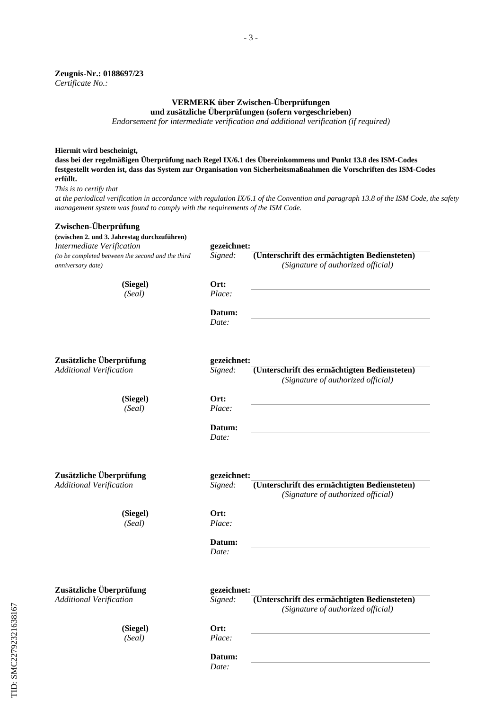#### **Zeugnis-Nr.: 0188697/23** *Certificate No.:*

## **VERMERK über Zwischen-Überprüfungen**

**und zusätzliche Überprüfungen (sofern vorgeschrieben)**

*Endorsement for intermediate verification and additional verification (if required)*

## **Hiermit wird bescheinigt,**

**dass bei der regelmäßigen Überprüfung nach Regel IX/6.1 des Übereinkommens und Punkt 13.8 des ISM-Codes festgestellt worden ist, dass das System zur Organisation von Sicherheitsmaßnahmen die Vorschriften des ISM-Codes erfüllt.**

*This is to certify that*

*at the periodical verification in accordance with regulation IX/6.1 of the Convention and paragraph 13.8 of the ISM Code, the safety management system was found to comply with the requirements of the ISM Code.*

## **Zwischen-Überprüfung (zwischen 2. und 3. Jahrestag durchzuführen) gezeichnet: (Unterschrift des ermächtigten Bediensteten) (Siegel) Ort: Datum:** *Signed: (Signature of authorized official) (Seal) Place: Date:* **Zusätzliche Überprüfung gezeichnet: (Unterschrift des ermächtigten Bediensteten) (Siegel) Ort: Datum:** *Signed: (Signature of authorized official) (Seal) Place: Date:* **Zusätzliche Überprüfung gezeichnet: (Unterschrift des ermächtigten Bediensteten) (Siegel) Ort: Datum:** *Signed: (Signature of authorized official) (Seal) Place: Date:* **Zusätzliche Überprüfung gezeichnet: (Unterschrift des ermächtigten Bediensteten) (Siegel) Ort:** *Signed: (Signature of authorized official) (Seal) Place: Intermediate Verification (to be completed between the second and the third anniversary date) Additional Verification Additional Verification Additional Verification*

**Datum:**

*Date:*